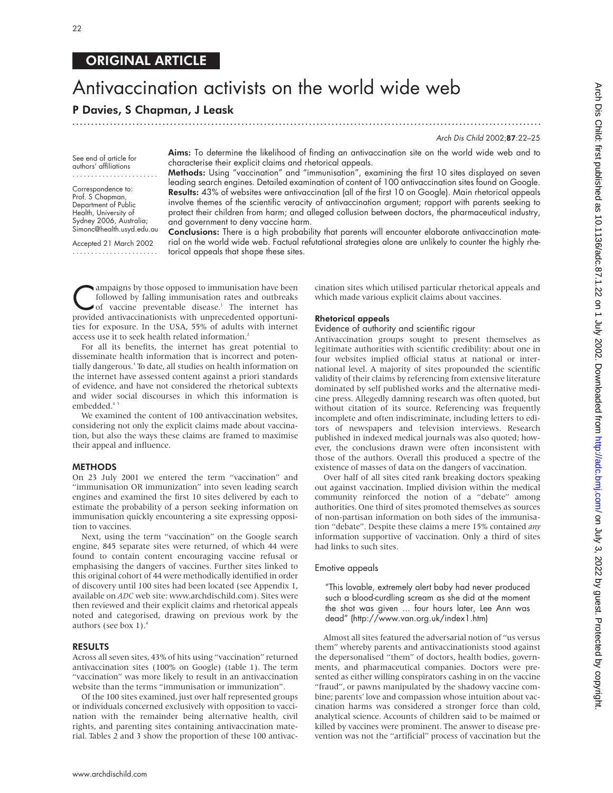## ORIGINAL ARTICLE

# Antivaccination activists on the world wide web

### P Davies, S Chapman, J Leask

.............................................................................................................................

#### Arch Dis Child 2002;87:22–25

See end of article for authors' affiliations

Correspondence to: Prof. S Chapman, Department of Public Health, University of Sydney 2006, Australia; Simonc@health.usyd.edu.au

Accepted 21 March 2002 ....................... Aims: To determine the likelihood of finding an antivaccination site on the world wide web and to characterise their explicit claims and rhetorical appeals.

Methods: Using "vaccination" and "immunisation", examining the first 10 sites displayed on seven leading search engines. Detailed examination of content of 100 antivaccination sites found on Google. Results: 43% of websites were antivaccination (all of the first 10 on Google). Main rhetorical appeals involve themes of the scientific veracity of antivaccination argument; rapport with parents seeking to protect their children from harm; and alleged collusion between doctors, the pharmaceutical industry, and government to deny vaccine harm.

Conclusions: There is a high probability that parents will encounter elaborate antivaccination material on the world wide web. Factual refutational strategies alone are unlikely to counter the highly rhetorical appeals that shape these sites.

campaigns by those opposed to immunisation have been<br>followed by falling immunisation rates and outbreaks<br>of vaccine preventable disease.<sup>1</sup> The internet has<br>provided antivaccinationists with unprecedented opportuni followed by falling immunisation rates and outbreaks provided antivaccinationists with unprecedented opportunities for exposure. In the USA, 55% of adults with internet access use it to seek health related information.<sup>2</sup>

For all its benefits, the internet has great potential to disseminate health information that is incorrect and potentially dangerous.3 To date, all studies on health information on the internet have assessed content against a priori standards of evidence, and have not considered the rhetorical subtexts and wider social discourses in which this information is embedded.<sup>45</sup>

We examined the content of 100 antivaccination websites. considering not only the explicit claims made about vaccination, but also the ways these claims are framed to maximise their appeal and influence.

#### METHODS

On 23 July 2001 we entered the term "vaccination" and "immunisation OR immunization" into seven leading search engines and examined the first 10 sites delivered by each to estimate the probability of a person seeking information on immunisation quickly encountering a site expressing opposition to vaccines.

Next, using the term "vaccination" on the Google search engine, 845 separate sites were returned, of which 44 were found to contain content encouraging vaccine refusal or emphasising the dangers of vaccines. Further sites linked to this original cohort of 44 were methodically identified in order of discovery until 100 sites had been located (see Appendix 1, available on *ADC* web site: www.archdischild.com). Sites were then reviewed and their explicit claims and rhetorical appeals noted and categorised, drawing on previous work by the authors (see box 1).4

#### RESULTS

Across all seven sites, 43% of hits using "vaccination" returned antivaccination sites (100% on Google) (table 1). The term "vaccination" was more likely to result in an antivaccination website than the terms "immunisation or immunization".

Of the 100 sites examined, just over half represented groups or individuals concerned exclusively with opposition to vaccination with the remainder being alternative health, civil rights, and parenting sites containing antivaccination material. Tables 2 and 3 show the proportion of these 100 antivaccination sites which utilised particular rhetorical appeals and which made various explicit claims about vaccines.

#### Rhetorical appeals

#### Evidence of authority and scientific rigour

Antivaccination groups sought to present themselves as legitimate authorities with scientific credibility: about one in four websites implied official status at national or international level. A majority of sites propounded the scientific validity of their claims by referencing from extensive literature dominated by self published works and the alternative medicine press. Allegedly damning research was often quoted, but without citation of its source. Referencing was frequently incomplete and often indiscriminate, including letters to editors of newspapers and television interviews. Research published in indexed medical journals was also quoted; however, the conclusions drawn were often inconsistent with those of the authors. Overall this produced a spectre of the existence of masses of data on the dangers of vaccination.

Over half of all sites cited rank breaking doctors speaking out against vaccination. Implied division within the medical community reinforced the notion of a "debate" among authorities. One third of sites promoted themselves as sources of non-partisan information on both sides of the immunisation "debate". Despite these claims a mere 15% contained *any* information supportive of vaccination. Only a third of sites had links to such sites.

#### Emotive appeals

"This lovable, extremely alert baby had never produced such a blood-curdling scream as she did at the moment the shot was given ... four hours later, Lee Ann was dead" (http://www.van.org.uk/index1.htm)

Almost all sites featured the adversarial notion of "us versus them" whereby parents and antivaccinationists stood against the depersonalised "them" of doctors, health bodies, governments, and pharmaceutical companies. Doctors were presented as either willing conspirators cashing in on the vaccine "fraud", or pawns manipulated by the shadowy vaccine combine; parents' love and compassion whose intuition about vaccination harms was considered a stronger force than cold, analytical science. Accounts of children said to be maimed or killed by vaccines were prominent. The answer to disease prevention was not the "artificial" process of vaccination but the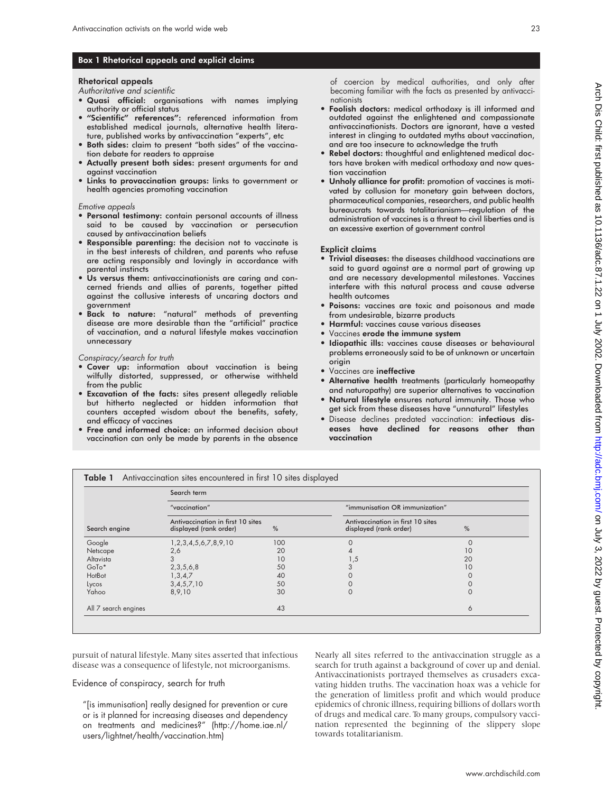#### Box 1 Rhetorical appeals and explicit claims

#### Rhetorical appeals

Authoritative and scientific

- Quasi official: organisations with names implying authority or official status
- "Scientific" references": referenced information from established medical journals, alternative health literature, published works by antivaccination "experts", etc
- Both sides: claim to present "both sides" of the vaccination debate for readers to appraise
- Actually present both sides: present arguments for and against vaccination
- Links to provaccination groups: links to government or health agencies promoting vaccination

#### Emotive appeals

- Personal testimony: contain personal accounts of illness said to be caused by vaccination or persecution caused by antivaccination beliefs
- Responsible parenting: the decision not to vaccinate is in the best interests of children, and parents who refuse are acting responsibly and lovingly in accordance with parental instincts
- Us versus them: antivaccinationists are caring and concerned friends and allies of parents, together pitted against the collusive interests of uncaring doctors and government
- Back to nature: "natural" methods of preventing disease are more desirable than the "artificial" practice of vaccination, and a natural lifestyle makes vaccination unnecessary

#### Conspiracy/search for truth

- Cover up: information about vaccination is being wilfully distorted, suppressed, or otherwise withheld from the public
- Excavation of the facts: sites present allegedly reliable but hitherto neglected or hidden information that counters accepted wisdom about the benefits, safety, and efficacy of vaccines
- Free and informed choice: an informed decision about vaccination can only be made by parents in the absence

of coercion by medical authorities, and only after becoming familiar with the facts as presented by antivaccinationists

- Foolish doctors: medical orthodoxy is ill informed and outdated against the enlightened and compassionate antivaccinationists. Doctors are ignorant, have a vested interest in clinging to outdated myths about vaccination, and are too insecure to acknowledge the truth
- Rebel doctors: thoughtful and enlightened medical doctors have broken with medical orthodoxy and now question vaccination
- Unholy alliance for profit: promotion of vaccines is motivated by collusion for monetary gain between doctors, pharmaceutical companies, researchers, and public health bureaucrats towards totalitarianism—regulation of the administration of vaccines is a threat to civil liberties and is an excessive exertion of government control

#### Explicit claims

- Trivial diseases: the diseases childhood vaccinations are said to guard against are a normal part of growing up and are necessary developmental milestones. Vaccines interfere with this natural process and cause adverse health outcomes
- Poisons: vaccines are toxic and poisonous and made from undesirable, bizarre products
- Harmful: vaccines cause various diseases
- Vaccines erode the immune system
- Idiopathic ills: vaccines cause diseases or behavioural problems erroneously said to be of unknown or uncertain origin
- Vaccines are ineffective
- Alternative health treatments (particularly homeopathy and naturopathy) are superior alternatives to vaccination
- Natural lifestyle ensures natural immunity. Those who get sick from these diseases have "unnatural" lifestyles
- · Disease declines predated vaccination: infectious diseases have declined for reasons other than vaccination

|                      | Search term                                                 |     |                                                             |               |  |  |
|----------------------|-------------------------------------------------------------|-----|-------------------------------------------------------------|---------------|--|--|
|                      | "vaccination"                                               |     | "immunisation OR immunization"                              |               |  |  |
| Search engine        | Antivaccination in first 10 sites<br>displayed (rank order) | %   | Antivaccination in first 10 sites<br>displayed (rank order) | $\frac{0}{0}$ |  |  |
| Google               | 1,2,3,4,5,6,7,8,9,10                                        | 100 |                                                             | $\Omega$      |  |  |
| Netscape             | 2,6                                                         | 20  |                                                             | 10            |  |  |
| Altavista            | 3                                                           | 10  | 1,5                                                         | 20            |  |  |
| $GoTo*$              | 2,3,5,6,8                                                   | 50  |                                                             | 10            |  |  |
| HotBot               | 1,3,4,7                                                     | 40  |                                                             | $\Omega$      |  |  |
| Lycos                | 3,4,5,7,10                                                  | 50  |                                                             |               |  |  |
| Yahoo                | 8,9,10                                                      | 30  | $\Omega$                                                    | $\Omega$      |  |  |
| All 7 search engines |                                                             | 43  |                                                             | 6             |  |  |

pursuit of natural lifestyle. Many sites asserted that infectious disease was a consequence of lifestyle, not microorganisms.

#### Evidence of conspiracy, search for truth

"[is immunisation] really designed for prevention or cure or is it planned for increasing diseases and dependency on treatments and medicines?" (http://home.iae.nl/ users/lightnet/health/vaccination.htm)

Nearly all sites referred to the antivaccination struggle as a search for truth against a background of cover up and denial. Antivaccinationists portrayed themselves as crusaders excavating hidden truths. The vaccination hoax was a vehicle for the generation of limitless profit and which would produce epidemics of chronic illness, requiring billions of dollars worth of drugs and medical care. To many groups, compulsory vaccination represented the beginning of the slippery slope towards totalitarianism.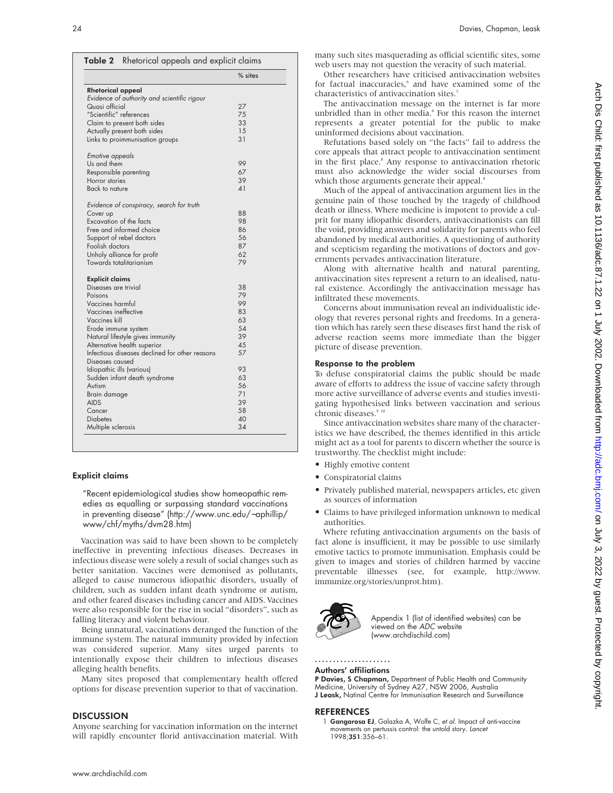| 24 |  |  | Davies, Chapman, Leask |  |  |
|----|--|--|------------------------|--|--|
|----|--|--|------------------------|--|--|

| many such sites masquerading as official scientific sites, some |
|-----------------------------------------------------------------|
| web users may not question the veracity of such material.       |

Other researchers have criticised antivaccination websites for factual inaccuracies,<sup>6</sup> and have examined some of the characteristics of antivaccination sites.7

The antivaccination message on the internet is far more unbridled than in other media.<sup>4</sup> For this reason the internet represents a greater potential for the public to make uninformed decisions about vaccination.

Refutations based solely on "the facts" fail to address the core appeals that attract people to antivaccination sentiment in the first place.<sup>8</sup> Any response to antivaccination rhetoric must also acknowledge the wider social discourses from which those arguments generate their appeal.<sup>4</sup>

Much of the appeal of antivaccination argument lies in the genuine pain of those touched by the tragedy of childhood death or illness. Where medicine is impotent to provide a culprit for many idiopathic disorders, antivaccinationists can fill the void, providing answers and solidarity for parents who feel abandoned by medical authorities. A questioning of authority and scepticism regarding the motivations of doctors and governments pervades antivaccination literature.

Along with alternative health and natural parenting, antivaccination sites represent a return to an idealised, natural existence. Accordingly the antivaccination message has infiltrated these movements.

Concerns about immunisation reveal an individualistic ideology that reveres personal rights and freedoms. In a generation which has rarely seen these diseases first hand the risk of adverse reaction seems more immediate than the bigger picture of disease prevention.

#### Response to the problem

To defuse conspiratorial claims the public should be made aware of efforts to address the issue of vaccine safety through more active surveillance of adverse events and studies investigating hypothesised links between vaccination and serious chronic diseases.<sup>9</sup>

Since antivaccination websites share many of the characteristics we have described, the themes identified in this article might act as a tool for parents to discern whether the source is trustworthy. The checklist might include:

- Highly emotive content
- Conspiratorial claims
- Privately published material, newspapers articles, etc given as sources of information
- Claims to have privileged information unknown to medical authorities.

Where refuting antivaccination arguments on the basis of fact alone is insufficient, it may be possible to use similarly emotive tactics to promote immunisation. Emphasis could be given to images and stories of children harmed by vaccine preventable illnesses (see, for example, http://www. immunize.org/stories/unprot.htm).



Appendix 1 (list of identified websites) can be viewed on the ADC website (www.archdischild.com)

#### ..................... Authors' affiliations

P Davies, S Chapman, Department of Public Health and Community Medicine, University of Sydney A27, NSW 2006, Australia J Leask, Natinal Centre for Immunisation Research and Surveillance

#### **REFERENCES**

1 Gangarosa EJ, Galazka A, Wolfe C, et al. Impact of anti-vaccine movements on pertussis control: the untold story. Lancet 1998;351:356–61.

| <b>Rhetorical appeal</b>                       |    |
|------------------------------------------------|----|
| Evidence of authority and scientific rigour    |    |
| Quasi official                                 | 27 |
| "Scientific" references                        | 75 |
| Claim to present both sides                    | 33 |
| Actually present both sides                    | 15 |
| Links to proimmunisation groups                | 31 |
| Emotive appeals                                |    |
| Us and them                                    | 99 |
| Responsible parenting                          | 67 |
| Horror stories                                 | 39 |
| <b>Back to nature</b>                          | 41 |
| Evidence of conspiracy, search for truth       |    |
| Cover up                                       | 88 |
| Excavation of the facts                        | 98 |
| Free and informed choice                       | 86 |
| Support of rebel doctors                       | 56 |
| Foolish doctors                                | 87 |
| Unholy alliance for profit                     | 62 |
| Towards totalitarianism                        | 79 |
| <b>Explicit claims</b>                         |    |
| Diseases are trivial                           | 38 |
| Poisons                                        | 79 |
| Vaccines harmful                               | 99 |
| Vaccines ineffective                           | 83 |
| Vaccines kill                                  | 63 |
| Erode immune system                            | 54 |
| Natural lifestyle gives immunity               | 39 |
| Alternative health superior                    | 45 |
| Infectious diseases declined for other reasons | 57 |
| Diseases caused                                |    |
| Idiopathic ills (various)                      | 93 |
| Sudden infant death syndrome                   | 63 |
| Autism                                         | 56 |
| Brain damage                                   | 71 |
| <b>AIDS</b>                                    | 39 |
| Cancer                                         | 58 |
| <b>Diabetes</b>                                | 40 |
| Multiple sclerosis                             | 34 |

Table 2 Rhetorical appeals and explicit claims

% sites

#### Explicit claims

"Recent epidemiological studies show homeopathic remedies as equalling or surpassing standard vaccinations in preventing disease" (http://www.unc.edu/∼aphillip/ www/chf/myths/dvm28.htm)

Vaccination was said to have been shown to be completely ineffective in preventing infectious diseases. Decreases in infectious disease were solely a result of social changes such as better sanitation. Vaccines were demonised as pollutants, alleged to cause numerous idiopathic disorders, usually of children, such as sudden infant death syndrome or autism, and other feared diseases including cancer and AIDS. Vaccines were also responsible for the rise in social "disorders", such as falling literacy and violent behaviour.

Being unnatural, vaccinations deranged the function of the immune system. The natural immunity provided by infection was considered superior. Many sites urged parents to intentionally expose their children to infectious diseases alleging health benefits.

Many sites proposed that complementary health offered options for disease prevention superior to that of vaccination.

#### **DISCUSSION**

Anyone searching for vaccination information on the internet will rapidly encounter florid antivaccination material. With